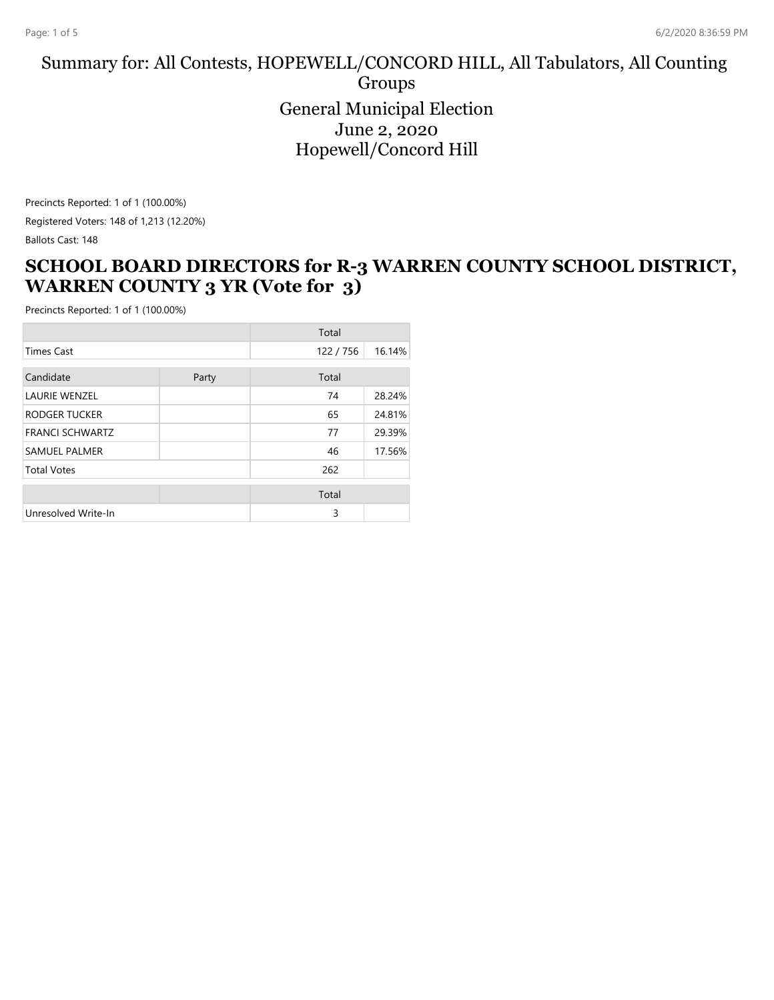### Summary for: All Contests, HOPEWELL/CONCORD HILL, All Tabulators, All Counting Groups General Municipal Election June 2, 2020 Hopewell/Concord Hill

Precincts Reported: 1 of 1 (100.00%) Registered Voters: 148 of 1,213 (12.20%) Ballots Cast: 148

## **SCHOOL BOARD DIRECTORS for R-3 WARREN COUNTY SCHOOL DISTRICT, WARREN COUNTY 3 YR (Vote for 3)**

|                        |       | Total   |        |
|------------------------|-------|---------|--------|
| <b>Times Cast</b>      |       | 122/756 | 16.14% |
| Candidate              | Party | Total   |        |
| <b>LAURIE WENZEL</b>   |       | 74      | 28.24% |
| RODGER TUCKER          |       | 65      | 24.81% |
| <b>FRANCI SCHWARTZ</b> |       | 77      | 29.39% |
| <b>SAMUEL PALMER</b>   |       | 46      | 17.56% |
| <b>Total Votes</b>     |       | 262     |        |
|                        |       | Total   |        |
| Unresolved Write-In    |       | 3       |        |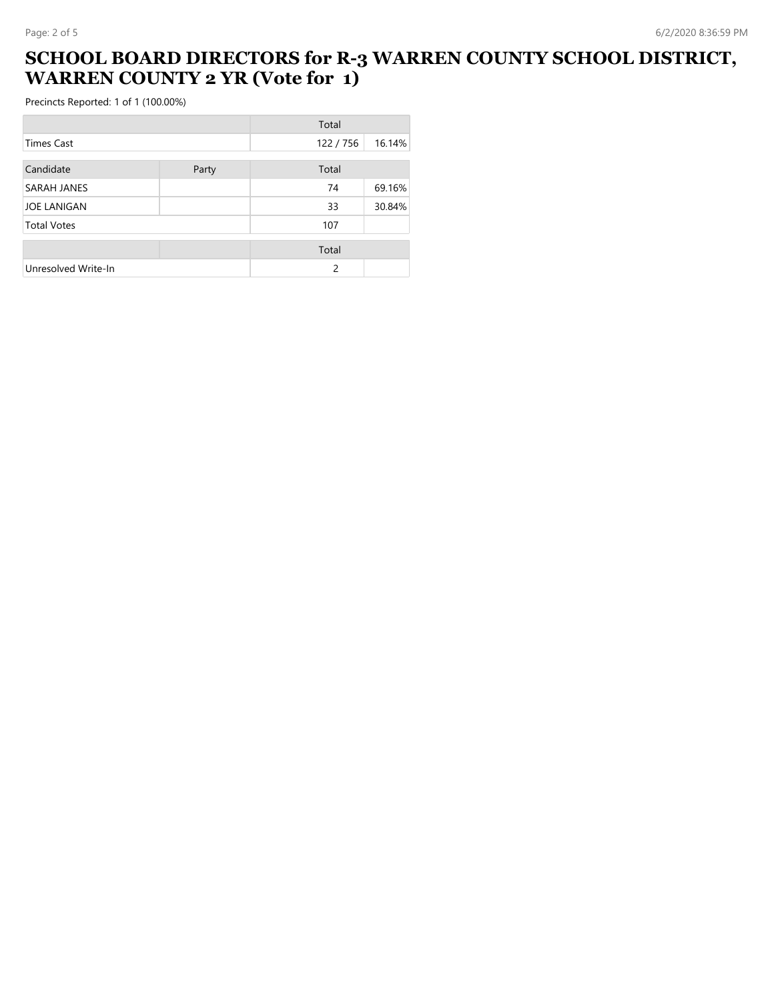## **SCHOOL BOARD DIRECTORS for R-3 WARREN COUNTY SCHOOL DISTRICT, WARREN COUNTY 2 YR (Vote for 1)**

|                     |       | Total   |        |
|---------------------|-------|---------|--------|
| Times Cast          |       | 122/756 | 16.14% |
| Candidate           | Party | Total   |        |
| SARAH JANES         |       | 74      | 69.16% |
| <b>JOE LANIGAN</b>  |       | 33      | 30.84% |
| <b>Total Votes</b>  |       | 107     |        |
|                     |       | Total   |        |
| Unresolved Write-In |       | 2       |        |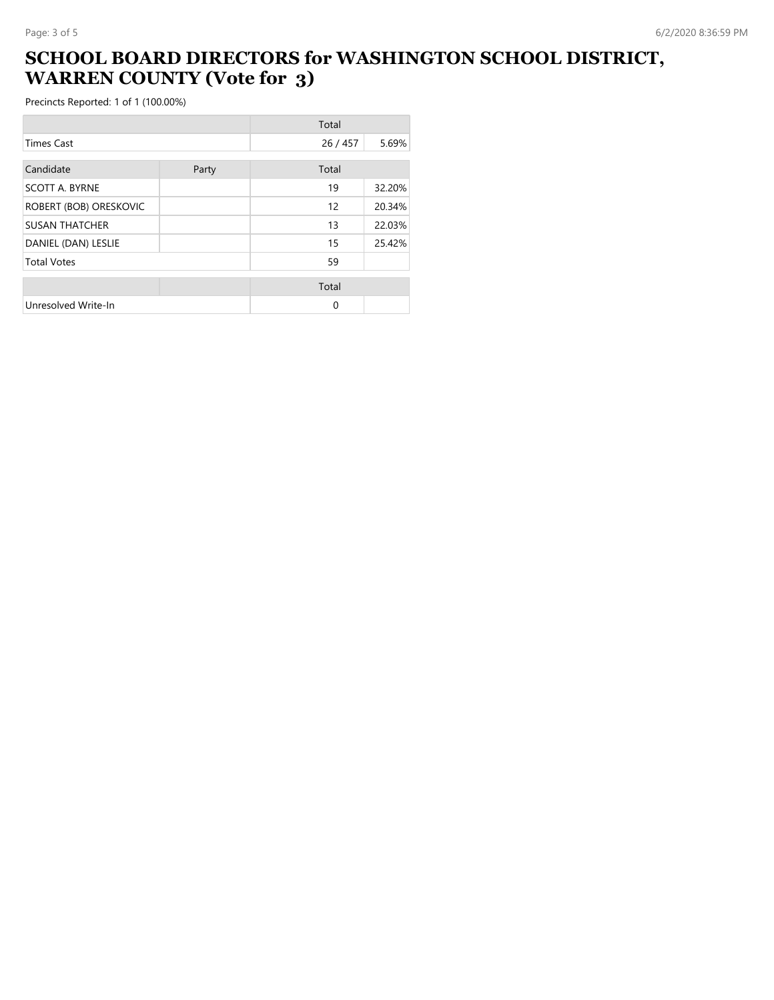## **SCHOOL BOARD DIRECTORS for WASHINGTON SCHOOL DISTRICT, WARREN COUNTY (Vote for 3)**

|                        |       | Total  |        |
|------------------------|-------|--------|--------|
| <b>Times Cast</b>      |       | 26/457 | 5.69%  |
| Candidate              | Party | Total  |        |
| <b>SCOTT A. BYRNE</b>  |       | 19     | 32.20% |
| ROBERT (BOB) ORESKOVIC |       | 12     | 20.34% |
| <b>SUSAN THATCHER</b>  |       | 13     | 22.03% |
| DANIEL (DAN) LESLIE    |       | 15     | 25.42% |
| <b>Total Votes</b>     |       | 59     |        |
|                        |       | Total  |        |
| Unresolved Write-In    |       | 0      |        |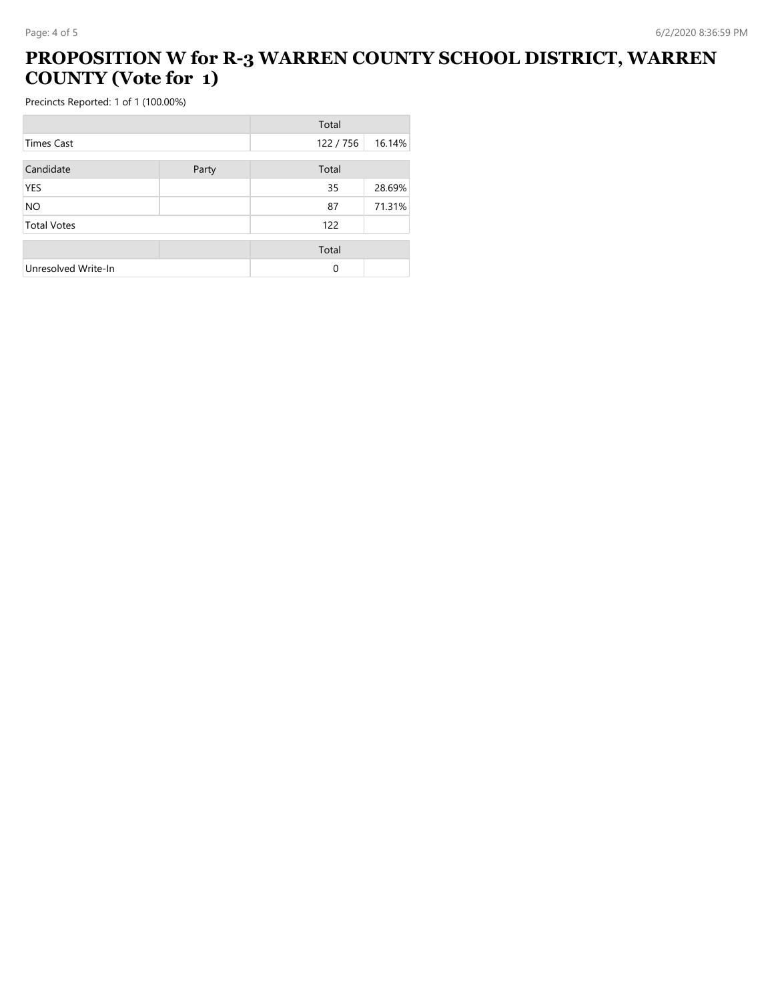# **PROPOSITION W for R-3 WARREN COUNTY SCHOOL DISTRICT, WARREN COUNTY (Vote for 1)**

|                     |       | Total   |        |
|---------------------|-------|---------|--------|
| Times Cast          |       | 122/756 | 16.14% |
| Candidate           | Party | Total   |        |
| <b>YES</b>          |       | 35      | 28.69% |
| <b>NO</b>           |       | 87      | 71.31% |
| <b>Total Votes</b>  |       | 122     |        |
|                     |       | Total   |        |
| Unresolved Write-In |       | 0       |        |